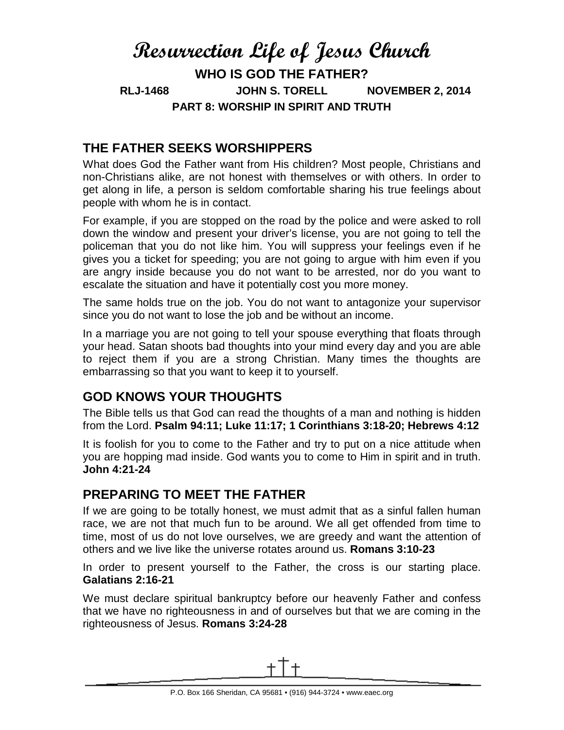# **Resurrection Life of Jesus Church WHO IS GOD THE FATHER? RLJ-1468 JOHN S. TORELL NOVEMBER 2, 2014 PART 8: WORSHIP IN SPIRIT AND TRUTH**

### **THE FATHER SEEKS WORSHIPPERS**

What does God the Father want from His children? Most people, Christians and non-Christians alike, are not honest with themselves or with others. In order to get along in life, a person is seldom comfortable sharing his true feelings about people with whom he is in contact.

For example, if you are stopped on the road by the police and were asked to roll down the window and present your driver's license, you are not going to tell the policeman that you do not like him. You will suppress your feelings even if he gives you a ticket for speeding; you are not going to argue with him even if you are angry inside because you do not want to be arrested, nor do you want to escalate the situation and have it potentially cost you more money.

The same holds true on the job. You do not want to antagonize your supervisor since you do not want to lose the job and be without an income.

In a marriage you are not going to tell your spouse everything that floats through your head. Satan shoots bad thoughts into your mind every day and you are able to reject them if you are a strong Christian. Many times the thoughts are embarrassing so that you want to keep it to yourself.

### **GOD KNOWS YOUR THOUGHTS**

The Bible tells us that God can read the thoughts of a man and nothing is hidden from the Lord. **Psalm 94:11; Luke 11:17; 1 Corinthians 3:18-20; Hebrews 4:12**

It is foolish for you to come to the Father and try to put on a nice attitude when you are hopping mad inside. God wants you to come to Him in spirit and in truth. **John 4:21-24**

#### **PREPARING TO MEET THE FATHER**

If we are going to be totally honest, we must admit that as a sinful fallen human race, we are not that much fun to be around. We all get offended from time to time, most of us do not love ourselves, we are greedy and want the attention of others and we live like the universe rotates around us. **Romans 3:10-23**

In order to present yourself to the Father, the cross is our starting place. **Galatians 2:16-21**

We must declare spiritual bankruptcy before our heavenly Father and confess that we have no righteousness in and of ourselves but that we are coming in the righteousness of Jesus. **Romans 3:24-28**